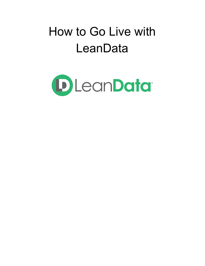# How to Go Live with LeanData

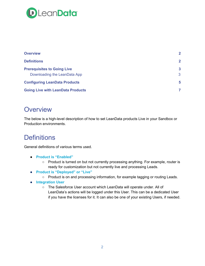

| <b>Overview</b>                          |              |
|------------------------------------------|--------------|
| <b>Definitions</b>                       | $\mathbf{2}$ |
| <b>Prerequisites to Going Live</b>       | $\mathbf{3}$ |
| Downloading the LeanData App             | 3            |
| <b>Configuring LeanData Products</b>     | 5            |
| <b>Going Live with LeanData Products</b> |              |

## <span id="page-1-0"></span>**Overview**

The below is a high-level description of how to set LeanData products Live in your Sandbox or Production environments.

# <span id="page-1-1"></span>**Definitions**

General definitions of various terms used.

- **● Product is "Enabled"**
	- Product is turned on but not currently processing anything. For example, router is ready for customization but not currently live and processing Leads.
- **● Product is "Deployed" or "Live"**
	- Product is on and processing information, for example tagging or routing Leads.
- **● Integration User**
	- **○** The Salesforce User account which LeanData will operate under. All of LeanData's actions will be logged under this User. This can be a dedicated User if you have the licenses for it. It can also be one of your existing Users, if needed.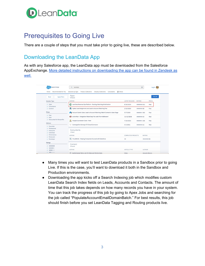

# <span id="page-2-0"></span>Prerequisites to Going Live

<span id="page-2-1"></span>There are a couple of steps that you must take prior to going live, these are described below.

## Downloading the LeanData App

As with any Salesforce app, the LeanData app must be downloaded from the Salesforce AppExchange. More detailed instructions on [downloading](https://leandatahelp.zendesk.com/hc/en-us/articles/360016337994-LeanData-Managed-App-Install-Guide) the app can be found in Zendesk as [well.](https://leandatahelp.zendesk.com/hc/en-us/articles/360016337994-LeanData-Managed-App-Install-Guide)

| appexchange<br>slesforce                                                                         | $\alpha$<br>leandata                                                                                     |                           | $\circledcirc$ | Log In        |
|--------------------------------------------------------------------------------------------------|----------------------------------------------------------------------------------------------------------|---------------------------|----------------|---------------|
| Recommended for You<br>Home                                                                      | < Ohana<br>Solutions by Type<br><b>Product Collections</b><br><b>Industry Collections</b><br>Consultants |                           |                |               |
| <b>Apply Filters</b><br>Reset                                                                    | Apps<br>6 Results                                                                                        |                           |                | View All      |
| Solution Type                                                                                    | <b>LISTING</b>                                                                                           | LATEST RELEASE            | <b>RATING</b>  | PRICE         |
| $\blacktriangleright$ Apps<br>$\overline{\smash{\checkmark}}$ Consultants                        | LeanData Revenue Ops Platform - Routing, Matching & Attribution                                          | 8/16/2019                 | ★★★★★(51)      | Paid          |
| $\backsim$ Content                                                                               | Vyakar Lead Assignment and Lead to Account Matching Free                                                 | 2/13/2019                 | *****(8)       | Free          |
| Prices                                                                                           | Account Centric Sales, Lead to Account Matching, Match Content to Sales Stage<br><b>A</b>                | 5/7/2019                  | ★★★★★ (55)     | Free          |
| $\blacktriangleright$ Free<br>$\blacktriangleright$ Paid                                         | ଛ<br>actionHub = Integration Made Easy! No code! No middleware!                                          | 11/12/2018                | *****(4)       | Paid          |
| $\overline{\phantom{a}}$ Discounted for Nonprofits                                               | 蓝<br>Hoopla Countdown Clock - Free!                                                                      | 7/23/2015                 | ***** (29)     | Free          |
| Editions<br>$\overline{\phantom{a}}$ Essentials                                                  | ConvergeOne Genesys CTI Cloud Connector<br>County .                                                      | 4/1/2011                  | *****(1)       | Paid          |
| Professional<br>$\overline{\phantom{a}}$ Enterprise<br>$\overline{\smash{\checkmark}}$ Unlimited | Consultants<br>1 Result                                                                                  |                           |                |               |
| Performance                                                                                      | <b>LISTING</b>                                                                                           | <b>COMPLETED PROJECTS</b> | RATING         |               |
| $\blacktriangleright$ Force.com<br>Developer                                                     | CloudKettle - Helping Companies Succeed with Salesforce                                                  | 13                        | *****(8)       |               |
| Ratings                                                                                          |                                                                                                          |                           |                |               |
| $V$ *****<br>* *****                                                                             | Content<br>5 Results                                                                                     |                           |                |               |
| v *****                                                                                          | LISTING                                                                                                  | ARTICLE TYPE              | <b>AUTHOR</b>  |               |
| v *****                                                                                          | AppExchange Demo Jam for Sales and Service Apps                                                          | Video                     |                | Amanda Nelson |

- Many times you will want to test LeanData products in a Sandbox prior to going Live. If this is the case, you'll want to download it both in the Sandbox and Production environments.
- Downloading the app kicks off a Search Indexing job which modifies custom LeanData Search Index fields on Leads, Accounts and Contacts. The amount of time that this job takes depends on how many records you have in your system. You can track the progress of this job by going to Apex Jobs and searching for the job called "PopulateAccountEmailDomainBatch." For best results, this job should finish before you set LeanData Tagging and Routing products live.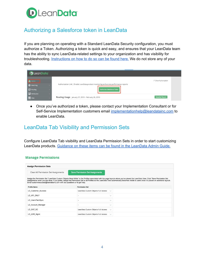

## Authorizing a Salesforce token in LeanData

If you are planning on operating with a Standard LeanData Security configuration, you must authorize a Token. Authorizing a token is quick and easy, and ensures that your LeanData team has the ability to sync LeanData-related settings to your organization and has visibility for troubleshooting. [Instructions](https://leandatahelp.zendesk.com/hc/en-us/articles/360016461333-LeanData-Admin-Guide-Standard-Configuration) on how to do so can be found here. We do not store any of your data.

| <b>D</b> LeanData                                                                |                                                                                                                                              |  |  |
|----------------------------------------------------------------------------------|----------------------------------------------------------------------------------------------------------------------------------------------|--|--|
| <b>A</b> Home<br><b>+ Matching</b><br><b>O</b> Routing<br><b>Ind</b> Attribution | & Show Authorization<br>Authorization Link   Enable LeanData product monitoring and access performance reports<br>Authorize Salesforce Token |  |  |
| View                                                                             | <b>Detailed Report</b><br>Routing Usage January 27, 2019 - February 26, 2019                                                                 |  |  |

● Once you've authorized a token, please contact your Implementation Consultant or for Self-Service Implementation customers email [implementationhelp@leandatainc.com](mailto:implementationhelp@leandatainc.com) to enable LeanData.

## LeanData Tab Visibility and Permission Sets

Configure LeanData Tab visibility and LeanData Permission Sets in order to start customizing LeanData products. Guidance on these items can be found in the [LeanData](https://leandatahelp.zendesk.com/hc/en-us/articles/360016461333-LeanData-Admin-Guide-Standard-Configuration) Admin Guide.

#### **Manage Permissions**

| <b>Assign Permission Sets</b>                                                                                                                                                                                                                                                                                                                                                                                                                                 |                                                     |  |  |  |
|---------------------------------------------------------------------------------------------------------------------------------------------------------------------------------------------------------------------------------------------------------------------------------------------------------------------------------------------------------------------------------------------------------------------------------------------------------------|-----------------------------------------------------|--|--|--|
| <b>Clear All Permission Set Assignments</b>                                                                                                                                                                                                                                                                                                                                                                                                                   | <b>Save Permission Set Assignments</b>              |  |  |  |
| Assign the Permission Set "LeanData Custom Objects Read-Write" to the Profiles associated with the page layouts where you've placed the LeanData View. Click "Save Permission Set<br>Assignments when you are done. If you prefer, assign the Permission Set to all Profiles so the LeanData View automatically becomes visible to users once it is placed on additional layouts.<br>Email customersuccess@leandatainc.com with any questions or to get help. |                                                     |  |  |  |
| <b>Profile Name</b>                                                                                                                                                                                                                                                                                                                                                                                                                                           | <b>Permission Set</b>                               |  |  |  |
| LD Customer Success                                                                                                                                                                                                                                                                                                                                                                                                                                           | LeanData Custom Objects Full Access<br>$\vee$       |  |  |  |
| LD API ONLY                                                                                                                                                                                                                                                                                                                                                                                                                                                   | $\checkmark$<br>$\overline{\phantom{a}}$            |  |  |  |
| LD Intern/TechSync                                                                                                                                                                                                                                                                                                                                                                                                                                            | $\checkmark$<br>٠                                   |  |  |  |
| LD Account Manager                                                                                                                                                                                                                                                                                                                                                                                                                                            | $\checkmark$<br>$\overline{\phantom{a}}$            |  |  |  |
| LD ENT SC                                                                                                                                                                                                                                                                                                                                                                                                                                                     | LeanData Custom Objects Full Access<br>$\checkmark$ |  |  |  |
| LD ADR Mgmt                                                                                                                                                                                                                                                                                                                                                                                                                                                   | LeanData Custom Objects Full Access<br>$\checkmark$ |  |  |  |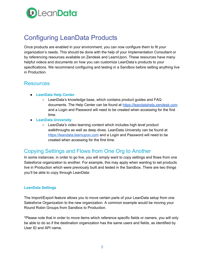

# <span id="page-4-0"></span>Configuring LeanData Products

Once products are enabled in your environment, you can now configure them to fit your organization's needs. This should be done with the help of your Implementation Consultant or by referencing resources available on Zendesk and LearnUpon. These resources have many helpful videos and documents on how you can customize LeanData's products to your specifications. We recommend configuring and testing in a Sandbox before setting anything live in Production.

#### **Resources**

- **● LeanData Help Center**
	- LeanData's knowledge base, which contains product guides and FAQ documents. The Help Center can be found at [https://leandatahelp.zendesk.com](https://leandatahelp.zendesk.com/) and a Login and Password will need to be created when accessing for the first time.
- **● LeanData University**
	- $\circ$  LeanData's video learning content which includes high level product walkthroughs as well as deep dives. LeanData University can be found at [https://leandata.learnupon.com](https://leandata.learnupon.com/) and a Login and Password will need to be created when accessing for the first time.

## Copying Settings and Flows from One Org to Another

In some instances, in order to go live, you will simply want to copy settings and flows from one Salesforce organization to another. For example, this may apply when wanting to set products live in Production which were previously built and tested in the Sandbox. There are two things you'll be able to copy through LeanData:

#### **LeanData Settings**

The Import/Export feature allows you to move certain parts of your LeanData setup from one Salesforce Organization to the new organization. A common example would be moving your Round Robin Groups from Sandbox to Production.

\*Please note that in order to move items which reference specific fields or owners, you will only be able to do so if the destination organization has the same users and fields, as identified by User ID and API name.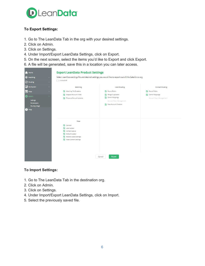

#### **To Export Settings:**

- 1. Go to The LeanData Tab in the org with your desired settings.
- 2. Click on Admin.
- 3. Click on Settings.
- 4. Under Import/Export LeanData Settings, click on Export.
- 5. On the next screen, select the items you'd like to Export and click Export.
- 6. A file will be generated, save this in a location you can later access.

| K.Y | Home                                                                                                                          |               | <b>Export LeanData Product Settings</b>                                                                                                                                                                 |                                                                                                                                  |                                                          |
|-----|-------------------------------------------------------------------------------------------------------------------------------|---------------|---------------------------------------------------------------------------------------------------------------------------------------------------------------------------------------------------------|----------------------------------------------------------------------------------------------------------------------------------|----------------------------------------------------------|
|     | <b>Watching</b>                                                                                                               | $\rightarrow$ | Select LeanData settings file and desired settings you would like to export out of this Salesforce org                                                                                                  |                                                                                                                                  |                                                          |
|     | <b>B</b> Routing                                                                                                              | $\rightarrow$ | Uncheck All                                                                                                                                                                                             |                                                                                                                                  |                                                          |
|     | <b>MI</b> Attribution                                                                                                         | $\rightarrow$ | Matching                                                                                                                                                                                                | <b>Lead Routing</b>                                                                                                              | <b>Contact Routing</b>                                   |
|     | $\boxed{\blacksquare}$ View<br>$\rightarrow$<br>Admin<br>Settings<br>Permissions<br><b>Routing Usage</b><br><sup>e</sup> Help |               | Matching Tie-Breakers<br>Mapped Account Fields<br>$\checkmark$<br>Preserve Manual Updates<br>$\overline{\mathcal{L}}$                                                                                   | Round Robin<br>Merge Duplicates<br>Owner Mappings<br>Account Team Management<br>New Account Creation<br>$\overline{\phantom{a}}$ | Round Robin<br>Owner Mappings<br>Account Team Management |
|     |                                                                                                                               |               | View<br>$\checkmark$<br>General<br>Lead Layout<br>✓<br>Contact Layout<br>Account Layout<br>◡<br>Related Leads Settings<br>$\overline{\mathcal{L}}$<br>Mass Convert Settings<br>$\overline{\phantom{0}}$ | Cancel<br>Export                                                                                                                 |                                                          |

#### **To Import Settings:**

- 1. Go to The LeanData Tab in the destination org.
- 2. Click on Admin.
- 3. Click on Settings.
- 4. Under Import/Export LeanData Settings, click on Import.
- 5. Select the previously saved file.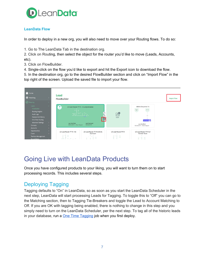

#### **LeanData Flow**

In order to deploy in a new org, you will also need to move over your Routing flows. To do so:

1. Go to The LeanData Tab in the destination org.

2. Click on Routing, then select the object for the router you'd like to move (Leads, Accounts, etc).

- 3. Click on FlowBuilder.
- 4. Single-click on the flow you'd like to export and hit the Export icon to download the flow.

5. In the destination org, go to the desired FlowBuilder section and click on "Import Flow" in the top right of the screen. Upload the saved file to import your flow.



# <span id="page-6-0"></span>Going Live with LeanData Products

Once you have configured products to your liking, you will want to turn them on to start processing records. This includes several steps.

## Deploying Tagging

Tagging defaults to "On" in LeanData, so as soon as you start the LeanData Scheduler in the next step, LeanData will start processing Leads for Tagging. To toggle this to "Off" you can go to the Matching section, then to Tagging Tie-Breakers and toggle the Lead to Account Matching to Off. If you are OK with tagging being enabled, there is nothing to change in this step and you simply need to turn on the LeanData Scheduler, per the next step. To tag all of the historic leads in your database, run a **One Time [Tagging](https://leandatahelp.zendesk.com/hc/en-us/articles/360018808274-Matching-One-Time-Tagging-Guide) job when you first deploy**.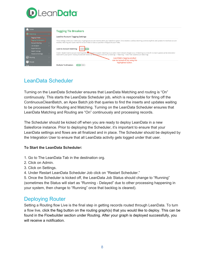

|                     | Home                                                    | <b>Tagging Tie Breakers</b>                                                                                                                                                                                                                                                                                                                    |
|---------------------|---------------------------------------------------------|------------------------------------------------------------------------------------------------------------------------------------------------------------------------------------------------------------------------------------------------------------------------------------------------------------------------------------------------|
| <b>O</b> Matching   |                                                         |                                                                                                                                                                                                                                                                                                                                                |
|                     | <b>Tagging Finder</b>                                   | Lead-to-Account Tagging Settings                                                                                                                                                                                                                                                                                                               |
|                     | <b>Tagging Tie-Breakers</b><br><b>Account Scoring</b>   | These settings control your continuous, on-going lead-account matches within your Salesforce system. Once enabled, LeanData Matching automatically finds and updates the best lead-account<br>matches. Matching also copies matched account fields to leads as specified in Mapped Account Fields.                                             |
|                     | List Analyzer<br><b>Buyer Persona</b><br>Match Settings | Lead-to-Account Matching<br>OFF                                                                                                                                                                                                                                                                                                                |
|                     | <b>Advanced Settings</b>                                | Enable / disable lead-to-account matching within you Salesforce system. Matching occurs when match relevant changes occur. If Matching is turned off, no match updates will be detected or<br>made within your system. Existing records will need to be markhed via a one time run (Settings --> Matching --> One-Time Lead2Account Matching). |
| $\bigoplus$ Routing |                                                         | LeanData's tagging product                                                                                                                                                                                                                                                                                                                     |
| People              |                                                         | can be turned off by using the<br>highlighted button.<br><b>Multiple Tie-Breakers</b><br>ON<br>OFF                                                                                                                                                                                                                                             |

## LeanData Scheduler

Turning on the LeanData Scheduler ensures that LeanData Matching and routing is "On" continuously. This starts the LeanData Scheduler job, which is responsible for firing off the ContinuousCleanBatch, an Apex Batch job that queries to find the inserts and updates waiting to be processed for Routing and Matching. Turning on the LeanData Scheduler ensures that LeanData Matching and Routing are "On" continuously and processing records.

The Scheduler should be kicked off when you are ready to deploy LeanData in a new Salesforce instance. Prior to deploying the Scheduler, it's important to ensure that your LeanData settings and flows are all finalized and in place. The Scheduler should be deployed by the Integration User to ensure that all LeanData activity gets logged under that user.

#### **To Start the LeanData Scheduler:**

- 1. Go to The LeanData Tab in the destination org.
- 2. Click on Admin.
- 3. Click on Settings.
- 4. Under Restart LeanData Scheduler Job click on "Restart Scheduler."

5. Once the Scheduler is kicked off, the LeanData Job Status should change to "Running" (sometimes the Status will start as "Running - Delayed" due to other processing happening in your system, then change to "Running" once that backlog is cleared).

#### Deploying Router

Setting a Routing flow Live is the final step in getting records routed through LeanData. To turn a flow live, click the flag button on the routing graph(s) that you would like to deploy. This can be found in the Flowbuilder section under Routing. After your graph is deployed successfully, you will receive a notification.